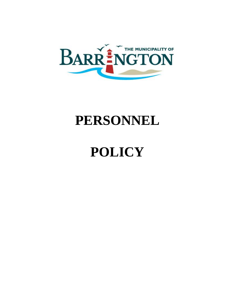

# **PERSONNEL**

# **POLICY**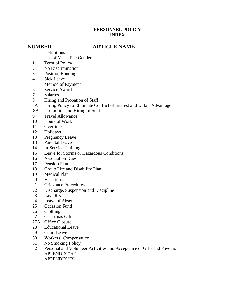#### **PERSONNEL POLICY INDEX**

#### **NUMBER ARTICLE NAME**

Definitions

Use of Masculine Gender

- Term of Policy
- No Discrimination
- Position Bonding
- Sick Leave
- Method of Payment
- Service Awards
- Salaries
- Hiring and Probation of Staff
- 8A Hiring Policy to Eliminate Conflict of Interest and Unfair Advantage
- 8B Promotion and Hiring of Staff
- Travel Allowance
- Hours of Work
- Overtime
- Holidays
- Pregnancy Leave
- Parental Leave
- In-Service Training
- Leave for Storms or Hazardous Conditions
- Association Dues
- Pension Plan
- Group Life and Disability Plan
- Medical Plan
- Vacations
- Grievance Procedures
- Discharge, Suspension and Discipline
- Lay Offs
- Leave of Absence
- Occasion Fund
- Clothing
- Christmas Gift
- 27A Office Closure
- Educational Leave
- Court Leave
- Workers' Compensation
- No Smoking Policy
- Personal and Volunteer Activities and Acceptance of Gifts and Favours APPENDIX "A" APPENDIX "B"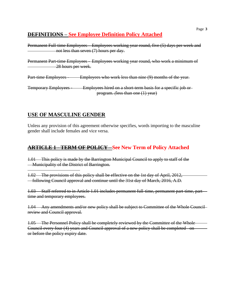# **DEFINITIONS – See Employee Definition Policy Attached**

Permanent Full-time Employees - Employees working year round, five (5) days per week and not less than seven (7) hours per day.

Permanent Part-time Employees - Employees working year round, who work a minimum of 28 hours per week.

Part-time Employees - Employees who work less than nine (9) months of the year.

Temporary Employees - Employees hired on a short-term basis for a specific job orprogram. *(*less than one (1) year)

# **USE OF MASCULINE GENDER**

Unless any provision of this agreement otherwise specifies, words importing to the masculine gender shall include females and vice versa.

# **ARTICLE 1 - TERM OF POLICY - See New Term of Policy Attached**

1.01 This policy is made by the Barrington Municipal Council to apply to staff of the **Municipality of the District of Barrington.** 

1.02 The provisions of this policy shall be effective on the 1st day of April, 2012, following Council approval and continue until the 31st day of March, 2016, A.D.

1.03 Staff referred to in Article 1.01 includes permanent full-time, permanent part-time, parttime and temporary employees.

1.04 Any amendments and/or new policy shall be subject to Committee of the Whole Council review and Council approval.

1.05 The Personnel Policy shall be completely reviewed by the Committee of the Whole Council every four (4) years and Council approval of a new policy shall be completed on or before the policy expiry date.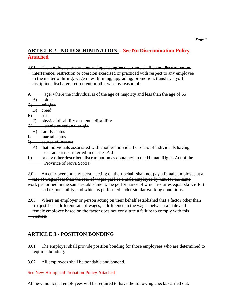#### **ARTICLE 2 - NO DISCRIMINATION – See No Discrimination Policy Attached**

2.01 The employer, its servants and agents, agree that there shall be no discrimination, interference, restriction or coercion exercised or practiced with respect to any employee in the matter of hiring, wage rates, training, upgrading, promotion, transfer, layoff, discipline, discharge, retirement or otherwise by reason of:

 $\mathbf{A}$  age, where the individual is of the age of majority and less than the age of 65 B) colour

C) religion

D) creed

 $E)$  sex

F) physical disability or mental disability

G) ethnic or national origin

H) family status

I) marital status

J) source of income

 $-K$ ) that individuals associated with another individual or class of individuals having characteristics referred in clauses A-J.

L) or any other described discrimination as contained in the Human Rights Act of the **Province of Nova Scotia.** 

2.02 An employer and any person acting on their behalf shall not pay a female employee at a rate of wages less than the rate of wages paid to a male employee by him for the same work performed in the same establishment, the performance of which requires equal skill, effort and responsibility, and which is performed under similar working conditions.

2.03 Where an employer or person acting on their behalf established that a factor other than sex justifies a different rate of wages, a difference in the wages between a male and female employee based on the factor does not constitute a failure to comply with this Section.

#### **ARTICLE 3 - POSITION BONDING**

- 3.01 The employer shall provide position bonding for those employees who are determined to required bonding.
- 3.02 All employees shall be bondable and bonded.

See New Hiring and Probation Policy Attached

All new municipal employees will be required to have the following checks carried out: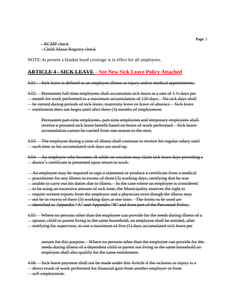- RCMP check - Child Abuse Registry check

NOTE:At present a blanket bond coverage is in effect for all employees.

#### **ARTICLE 4 - SICK LEAVE – See New Sick Leave Policy Attached**

4.01 Sick leave is defined as an employee illness or injury and/or medical appointments.

4.02 Permanent full-time employees shall accumulate sick leave at a rate of 1 ½ days per month for work performed to a maximum accumulation of 120 days. No sick days shall be earned during periods of sick leave, maternity leave or leave of absence. Sick leave entitlement does not begin until after three (3) months of employment.

Permanent part-time employees, part-time employees and temporary employees shall receive a prorated sick leave benefit based on hours of work performed. Sick leave accumulation cannot be carried from one season to the next.

4.03 The employee during a time of illness shall continue to receive his regular salary until such time as his accumulated sick days are used up.

4.04 An employee who becomes ill while on vacation may claim sick leave days providing a doctor's certificate is presented upon return to work.

An employee may be required to sign a statement or produce a certificate from a medical practitioner for any illness in excess of three (3) working days, certifying that he was unable to carry out his duties due to illness. In the case where an employee is considered to be using an excessive amount of sick time, the Municipality reserves the right to require written reports from the employee and a physician even though the illness may not be in excess of three (3) working days at one time. The forms to be used are identified as Appendix "A" and Appendix "B" and form part of the Personnel Policy.

4.05 Where no persons other than the employee can provide for the needs during illness of a spouse, child or parent living in the same household, an employee shall be entitled, after notifying his supervisor, to use a maximum of five (5) days accumulated sick leave per

annum for this purpose. Where no persons other than the employee can provide for the needs during illness of a dependent child or parent not living in the same household an employee shall also qualify for the same entitlement.

4.06 Sick leave payment shall not be made under this Article if the sickness or injury is a direct result of work performed for financial gain from another employer or from self-employment.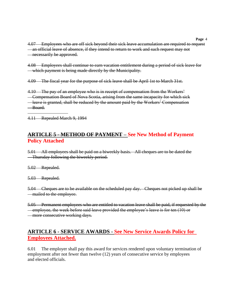4.07 Employees who are off sick beyond their sick leave accumulation are required to request an official leave of absence, if they intend to return to work and such request may not **necessarily be approved.** 

4.08 Employees shall continue to earn vacation entitlement during a period of sick leave for which payment is being made directly by the Municipality.

4.09 The fiscal year for the purpose of sick leave shall be April 1st to March 31st.

4.10 The pay of an employee who is in receipt of compensation from the Workers' Compensation Board of Nova Scotia, arising from the same incapacity for which sick leave is granted, shall be reduced by the amount paid by the Workers' Compensation Board.

4.11 Repealed March 9, 1994

#### **ARTICLE 5 - METHOD OF PAYMENT – See New Method of Payment Policy Attached**

5.01 All employees shall be paid on a biweekly basis. All cheques are to be dated the Thursday following the biweekly period.

5.02 Repealed.

5.03 Repealed.

5.04 Cheques are to be available on the scheduled pay day. Cheques not picked up shall be mailed to the employee.

5.05 Permanent employees who are entitled to vacation leave shall be paid, if requested by the employee, the week before said leave provided the employee's leave is for ten (10) or more consecutive working days.

#### **ARTICLE 6 - SERVICE AWARDS - See New Service Awards Policy for Employees Attached.**

6.01 The employer shall pay this award for services rendered upon voluntary termination of employment after not fewer than twelve (12) years of consecutive service by employees and elected officials.

**Page** 4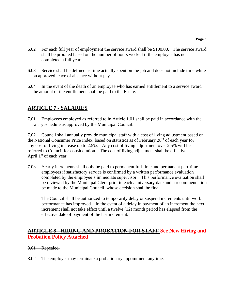- 6.02 For each full year of employment the service award shall be \$100.00. The service award shall be prorated based on the number of hours worked if the employee has not completed a full year.
- 6.03 Service shall be defined as time actually spent on the job and does not include time while on approved leave of absence without pay.
- 6.04 In the event of the death of an employee who has earned entitlement to a service award the amount of the entitlement shall be paid to the Estate.

# **ARTICLE 7 - SALARIES**

7.01 Employees employed as referred to in Article 1.01 shall be paid in accordance with the salary schedule as approved by the Municipal Council.

7.02 Council shall annually provide municipal staff with a cost of living adjustment based on the National Consumer Price Index, based on statistics as of February 28th of each year for any cost of living increase up to 2.5%. Any cost of living adjustment over 2.5% will be referred to Council for consideration. The cost of living adjustment shall be effective April 1<sup>st</sup> of each year.

7.03 Yearly increments shall only be paid to permanent full-time and permanent part-time employees if satisfactory service is confirmed by a written performance evaluation completed by the employee's immediate supervisor. This performance evaluation shall be reviewed by the Municipal Clerk prior to each anniversary date and a recommendation be made to the Municipal Council, whose decision shall be final.

The Council shall be authorized to temporarily delay or suspend increments until work performance has improved. In the event of a delay in payment of an increment the next increment shall not take effect until a twelve (12) month period has elapsed from the effective date of payment of the last increment.

#### **ARTICLE 8 - HIRING AND PROBATION FOR STAFF See New Hiring and Probation Policy Attached**

- 8.01 Repealed.
- 8.02 The employer may terminate a probationary appointment anytime.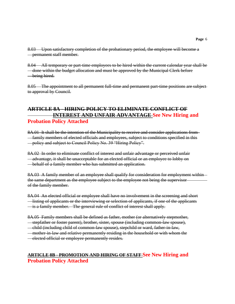8.03 Upon satisfactory completion of the probationary period, the employee will become a permanent staff member.

8.04 All temporary or part-time employees to be hired within the current calendar year shall be done within the budget allocation and must be approved by the Municipal Clerk before being hired.

8.05 The appointment to all permanent full-time and permanent part-time positions are subject to approval by Council.

#### **ARTICLE 8A - HIRING POLICY TO ELIMINATE CONFLICT OF INTEREST AND UNFAIR ADVANTAGE See New Hiring and Probation Policy Attached**

8A.01 It shall be the intention of the Municipality to receive and consider applications from family members of elected officials and employees, subject to conditions specified in this policy and subject to Council Policy No. 39 "Hiring Policy".

8A.02 In order to eliminate conflict of interest and unfair advantage or perceived unfair advantage, it shall be unacceptable for an elected official or an employee to lobby on behalf of a family member who has submitted an application.

8A.03 A family member of an employee shall qualify for consideration for employment within the same department as the employee subject to the employee not being the supervisor of the family member.

8A.04 An elected official or employee shall have no involvement in the screening and short listing of applicants or the interviewing or selection of applicants, if one of the applicants is a family member. The general rule of conflict of interest shall apply.

8A.05 Family members shall be defined as father, mother (or alternatively stepmother,

stepfather or foster parent), brother, sister, spouse (including common-law spouse),

child (including child of common-law spouse), stepchild or ward, father-in-law,

mother-in-law and relative permanently residing in the household or with whom the

elected official or employee permanently resides.

#### **ARTICLE 8B - PROMOTION AND HIRING OF STAFF See New Hiring and Probation Policy Attached**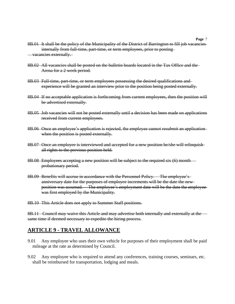- 8B.01 It shall be the policy of the Municipality of the District of Barrington to fill job vacancies internally from full-time, part-time, or term employees, prior to posting vacancies externally.
- 8B.02 All vacancies shall be posted on the bulletin boards located in the Tax Office and the Arena for a 2 week period.
- 8B.03 Full-time, part-time, or term employees possessing the desired qualifications and experience will be granted an interview prior to the position being posted externally.
- 8B.04 If no acceptable application is forthcoming from current employees, then the position will be advertised externally.
- 8B.05 Job vacancies will not be posted externally until a decision has been made on applications received from current employees.
- 8B.06 Once an employee's application is rejected, the employee cannot resubmit an application when the position is posted externally.
- 8B.07 Once an employee is interviewed and accepted for a new position he/she will relinquish all rights to the previous position held.
- 8B.08 Employees accepting a new position will be subject to the required six (6) month probationary period.
- 8B.09 Benefits will accrue in accordance with the Personnel Policy. The employee's anniversary date for the purposes of employee increments will be the date the new position was assumed. The employee's employment date will be the date the employee was first employed by the Municipality.

8B.10 This Article does not apply to Summer Staff positions.

8B.11 Council may waive this Article and may advertise both internally and externally at the  $$ same time if deemed necessary to expedite the hiring process.

#### **ARTICLE 9 - TRAVEL ALLOWANCE**

- 9.01 Any employee who uses their own vehicle for purposes of their employment shall be paid mileage at the rate as determined by Council.
- 9.02 Any employee who is required to attend any conferences, training courses, seminars, etc. shall be reimbursed for transportation, lodging and meals.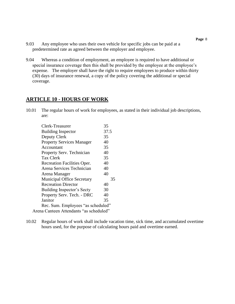- 9.03 Any employee who uses their own vehicle for specific jobs can be paid at a predetermined rate as agreed between the employer and employee.
- 9.04 Whereas a condition of employment, an employee is required to have additional or special insurance coverage then this shall be provided by the employee at the employee's expense. The employer shall have the right to require employees to produce within thirty (30) days of insurance renewal, a copy of the policy covering the additional or special coverage.

#### **ARTICLE 10 - HOURS OF WORK**

10.01 The regular hours of work for employees, as stated in their individual job descriptions, are:

| Clerk-Treasurer                         | 35   |  |
|-----------------------------------------|------|--|
| <b>Building Inspector</b>               | 37.5 |  |
| Deputy Clerk                            | 35   |  |
| <b>Property Services Manager</b>        | 40   |  |
| Accountant                              | 35   |  |
| Property Serv. Technician               | 40   |  |
| <b>Tax Clerk</b>                        | 35   |  |
| Recreation Facilities Oper.             | 40   |  |
| Arena Services Technician               | 40   |  |
| Arena Manager                           | 40   |  |
| <b>Municipal Office Secretary</b>       | 35   |  |
| <b>Recreation Director</b>              | 40   |  |
| Building Inspector's Secty              | 30   |  |
| Property Serv. Tech. - DRC              | 40   |  |
| Janitor                                 | 35   |  |
| Rec. Sum. Employees "as scheduled"      |      |  |
| Arena Canteen Attendants "as scheduled" |      |  |

10.02 Regular hours of work shall include vacation time, sick time, and accumulated overtime hours used, for the purpose of calculating hours paid and overtime earned.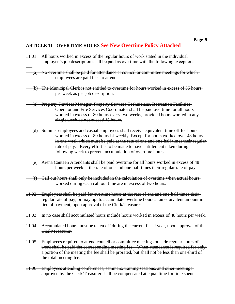#### **ARTICLE 11 - OVERTIME HOURS See New Overtime Policy Attached**

- 11.01 All hours worked in excess of the regular hours of work stated in the individual employee's job description shall be paid as overtime with the following exceptions:
- (a) No overtime shall be paid for attendance at council or committee meetings for which employees are paid fees to attend.
- (b) The Municipal Clerk is not entitled to overtime for hours worked in excess of 35 hours per week as per job description.
- (c) Property Services Manager, Property Services Technicians, Recreation Facilities Operator and Fire Services Coordinator shall be paid overtime for all hours worked in excess of 80 hours every two weeks, provided hours worked in any single week do not exceed 48 hours.
- (d) Summer employees and casual employees shall receive equivalent time off for hours worked in excess of 80 hours bi-weekly. Except for hours worked over 48 hours in one week which must be paid at the rate of one and one-half times their regularrate of pay. Every effort is to be made to have entitlement taken during following week to prevent accumulation of overtime hours.
- (e) Arena Canteen Attendants shall be paid overtime for all hours worked in excess of 48 hours per week at the rate of one and one-half times their regular rate of pay.
- (f) Call out hours shall only be included in the calculation of overtime when actual hours worked during each call out time are in excess of two hours.
- 11.02 Employees shall be paid for overtime hours at the rate of one and one-half times their regular rate of pay, or may opt to accumulate overtime hours at an equivalent amount in lieu of payment, upon approval of the Clerk/Treasurer.
- 11.03 In no case shall accumulated hours include hours worked in excess of 48 hours per week.
- 11.04 Accumulated hours must be taken off during the current fiscal year, upon approval of the Clerk/Treasurer.
- 11.05 Employees required to attend council or committee meetings outside regular hours of work shall be paid the corresponding meeting fee. When attendance is required for only a portion of the meeting the fee shall be prorated, but shall not be less than one-third of the total meeting fee.
- 11.06 Employees attending conferences, seminars, training sessions, and other meetings approved by the Clerk/Treasurer shall be compensated at equal time for time spent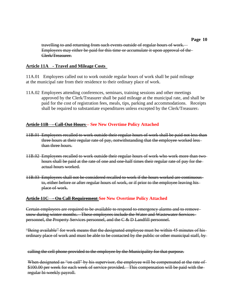travelling to and returning from such events outside of regular hours of work. Employees may either be paid for this time or accumulate it upon approval of the Clerk/Treasurer.

#### **Article 11A - Travel and Mileage Costs**

11A.01 Employees called out to work outside regular hours of work shall be paid mileage at the municipal rate from their residence to their ordinary place of work.

11A.02 Employees attending conferences, seminars, training sessions and other meetings approved by the Clerk/Treasurer shall be paid mileage at the municipal rate, and shall be paid for the cost of registration fees, meals, tips, parking and accommodations. Receipts shall be required to substantiate expenditures unless excepted by the Clerk/Treasurer.

#### **Article 11B - Call-Out Hours – See New Overtime Policy Attached**

- 11B.01 Employees recalled to work outside their regular hours of work shall be paid not less than three hours at their regular rate of pay, notwithstanding that the employee worked less than three hours.
- 11B.02 Employees recalled to work outside their regular hours of work who work more than two hours shall be paid at the rate of one and one-half times their regular rate of pay for the actual hours worked.
- 11B.03 Employees shall not be considered recalled to work if the hours worked are continuous to, either before or after regular hours of work, or if prior to the employee leaving his place of work.

#### **Article 11C - On Call Requirement See New Overtime Policy Attached**

Certain employees are required to be available to respond to emergency alarms and to remove snow during winter months. These employees include the Water and Wastewater Services personnel, the Property Services personnel, and the C & D Landfill personnel.

"Being available" for work means that the designated employee must be within 45 minutes of his ordinary place of work and must be able to be contacted by the public or other municipal staff, by

calling the cell phone provided to the employee by the Municipality for that purpose.

When designated as "on call" by his supervisor, the employee will be compensated at the rate of \$100.00 per week for each week of service provided. This compensation will be paid with the regular bi-weekly payroll.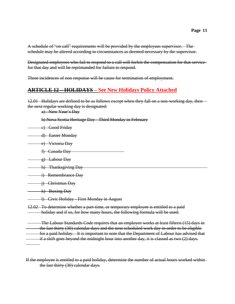A schedule of "on call" requirements will be provided by the employees supervisor. The schedule may be altered according to circumstances as deemed necessary by the supervisor.

Designated employees who fail to respond to a call will forfeit the compensation for that service for that day and will be reprimanded for failure to respond.

Three incidences of non response will be cause for termination of employment.

#### **ARTICLE 12 – HOLIDAYS – See New Holidays Policy Attached**

12.01 Holidays are defined to be as follows except when they fall on a non-working day, then the next regular working day is designated:

a) New Year's Day

b) Nova Scotia Heritage Day - Third Monday in February

c) Good Friday

d) Easter Monday

- e) Victoria Day
	- f) Canada Day
- g) Labour Day
- h) Thanksgiving Day
- i) Remembrance Day
- j) Christmas Day

k) Boxing Day

- l) Civic Holiday First Monday in August
- 12.02 To determine whether a part-time, or temporary employee is entitled to a paid holiday and if so, for how many hours, the following formula will be used:

The Labour Standards Code requires that an employee works at least fifteen (15) days in the last thirty (30) calendar days and the next scheduled work day in order to be eligible for a paid holiday. It is important to note that the Department of Labour has advised that if a shift goes beyond the midnight hour into another day, it is classed as two (2) days.

If the employee is entitled to a paid holiday, determine the number of actual hours worked within the last thirty (30) calendar days.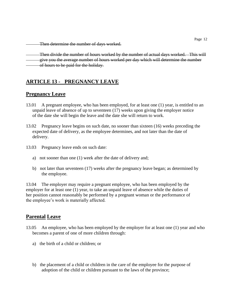Then determine the number of days worked.

Then divide the number of hours worked by the number of actual days worked. This will give you the average number of hours worked per day which will determine the number of hours to be paid for the holiday.

# **ARTICLE 13 - PREGNANCY LEAVE**

#### **Pregnancy Leave**

- 13.01 A pregnant employee, who has been employed, for at least one (1) year, is entitled to an unpaid leave of absence of up to seventeen (17) weeks upon giving the employer notice of the date she will begin the leave and the date she will return to work.
- 13.02 Pregnancy leave begins on such date, no sooner than sixteen (16) weeks preceding the expected date of delivery, as the employee determines, and not later than the date of delivery.
- 13.03 Pregnancy leave ends on such date:
	- a) not sooner than one (1) week after the date of delivery and;
	- b) not later than seventeen (17) weeks after the pregnancy leave began; as determined by the employee.

13.04 The employer may require a pregnant employee, who has been employed by the employer for at least one (1) year, to take an unpaid leave of absence while the duties of her position cannot reasonably be performed by a pregnant woman or the performance of the employee's work is materially affected.

#### **Parental Leave**

- 13.05 An employee, who has been employed by the employer for at least one (1) year and who becomes a parent of one of more children through:
	- a) the birth of a child or children; or
	- b) the placement of a child or children in the care of the employee for the purpose of adoption of the child or children pursuant to the laws of the province;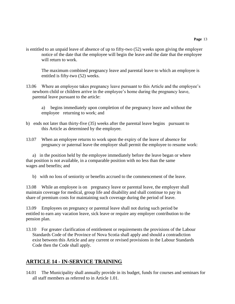is entitled to an unpaid leave of absence of up to fifty-two (52) weeks upon giving the employer notice of the date that the employee will begin the leave and the date that the employee will return to work.

The maximum combined pregnancy leave and parental leave to which an employee is entitled is fifty-two (52) weeks.

- 13.06 Where an employee takes pregnancy leave pursuant to this Article and the employee's newborn child or children arrive in the employee's home during the pregnancy leave, parental leave pursuant to the article:
	- a) begins immediately upon completion of the pregnancy leave and without the employee returning to work; and
- b) ends not later than thirty-five (35) weeks after the parental leave begins pursuant to this Article as determined by the employee.
- 13.07 When an employee returns to work upon the expiry of the leave of absence for pregnancy or paternal leave the employer shall permit the employee to resume work:

a) in the position held by the employee immediately before the leave began or where that position is not available, in a comparable position with no less than the same wages and benefits; and

b) with no loss of seniority or benefits accrued to the commencement of the leave.

13.08 While an employee is on pregnancy leave or parental leave, the employer shall maintain coverage for medical, group life and disability and shall continue to pay its share of premium costs for maintaining such coverage during the period of leave.

13.09 Employees on pregnancy or parental leave shall not during such period be entitled to earn any vacation leave, sick leave or require any employer contribution to the pension plan.

13.10 For greater clarification of entitlement or requirements the provisions of the Labour Standards Code of the Province of Nova Scotia shall apply and should a contradiction exist between this Article and any current or revised provisions in the Labour Standards Code then the Code shall apply.

# **ARTICLE 14 - IN-SERVICE TRAINING**

14.01 The Municipality shall annually provide in its budget, funds for courses and seminars for all staff members as referred to in Article 1.01.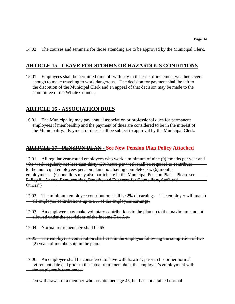14.02 The courses and seminars for those attending are to be approved by the Municipal Clerk.

#### **ARTICLE 15 - LEAVE FOR STORMS OR HAZARDOUS CONDITIONS**

15.01 Employees shall be permitted time off with pay in the case of inclement weather severe enough to make traveling to work dangerous. The decision for payment shall be left to the discretion of the Municipal Clerk and an appeal of that decision may be made to the Committee of the Whole Council.

#### **ARTICLE 16 - ASSOCIATION DUES**

16.01 The Municipality may pay annual association or professional dues for permanent employees if membership and the payment of dues are considered to be in the interest of the Municipality. Payment of dues shall be subject to approval by the Municipal Clerk.

#### **ARTICLE 17 - PENSION PLAN - See New Pension Plan Policy Attached**

17.01 All regular year-round employees who work a minimum of nine (9) months per year and who work regularly not less than thirty (30) hours per week shall be required to contribute to the municipal employees pension plan upon having completed six (6) months employment. (Councillors may also participate in the Municipal Pension Plan. Please see Policy 8 - Annual Remuneration, Benefits and Expenses for Councillors, Staff and Others")

17.02 The minimum employee contribution shall be 2% of earnings. The employer will match all employee contributions up to 5% of the employees earnings.

17.03 An employee may make voluntary contributions to the plan up to the maximum amount allowed under the provisions of the Income Tax Act.

17.04 Normal retirement age shall be 65.

17.05 The employer's contribution shall vest in the employee following the completion of two  $(2)$  years of membership in the plan.

17.06 An employee shall be considered to have withdrawn if, prior to his or her normal retirement date and prior to the actual retirement date, the employee's employment with the employer is terminated.

On withdrawal of a member who has attained age 45, but has not attained normal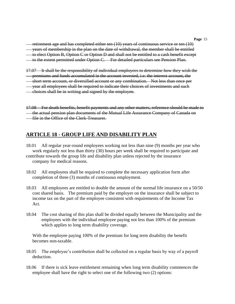**Page** 15

retirement age and has completed either ten (10) years of continuous service or ten (10)

years of membership in the plan on the date of withdrawal, the member shall be entitled

to elect Option B, Option C or Option D and shall not be entitled to a cash benefit except

to the extent permitted under Option C. For detailed particulars see Pension Plan.

17.07 It shall be the responsibility of individual employees to determine how they wish the

premiums and funds accumulated in the account invested, i.e. the interest account, the

short term account, or diversified account or any combination. Not less than once per

year all employees shall be required to indicate their choices of investments and such

choices shall be in writing and signed by the employee.

17.08 For death benefits, benefit payments and any other matters, reference should be made to the actual pension plan documents of the Mutual Life Assurance Company of Canada on **-** file in the Office of the Clerk-Treasurer.

# **ARTICLE 18 - GROUP LIFE AND DISABILITY PLAN**

18.01 All regular year-round employees working not less than nine (9) months per year who work regularly not less than thirty (30) hours per week shall be required to participate and contribute towards the group life and disability plan unless rejected by the insurance company for medical reasons.

- 18.02 All employees shall be required to complete the necessary application form after completion of three (3) months of continuous employment.
- 18.03 All employees are entitled to double the amount of the normal life insurance on a 50/50 cost shared basis. The premium paid by the employer on the insurance shall be subject to income tax on the part of the employee consistent with requirements of the Income Tax Act.
- 18.04 The cost sharing of this plan shall be divided equally between the Municipality and the employees with the individual employee paying not less than 100% of the premium which applies to long term disability coverage.

With the employee paying 100% of the premium for long term disability the benefit becomes non-taxable.

- 18.05 The employee's contribution shall be collected on a regular basis by way of a payroll deduction.
- 18.06 If there is sick leave entitlement remaining when long term disability commences the employee shall have the right to select one of the following two (2) options: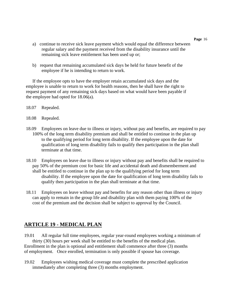- a) continue to receive sick leave payment which would equal the difference between regular salary and the payment received from the disability insurance until the remaining sick leave entitlement has been used up or;
- b) request that remaining accumulated sick days be held for future benefit of the employee if he is intending to return to work.

If the employee opts to have the employer retain accumulated sick days and the employee is unable to return to work for health reasons, then he shall have the right to request payment of any remaining sick days based on what would have been payable if the employee had opted for 18.06(a).

- 18.07 Repealed.
- 18.08 Repealed.
- 18.09 Employees on leave due to illness or injury, without pay and benefits, are required to pay 100% of the long term disability premium and shall be entitled to continue in the plan up to the qualifying period for long term disability. If the employee upon the date for qualification of long term disability fails to qualify then participation in the plan shall terminate at that time.
- 18.10 Employees on leave due to illness or injury without pay and benefits shall be required to pay 50% of the premium cost for basic life and accidental death and dismemberment and shall be entitled to continue in the plan up to the qualifying period for long term disability. If the employee upon the date for qualification of long term disability fails to qualify then participation in the plan shall terminate at that time.
- 18.11 Employees on leave without pay and benefits for any reason other than illness or injury can apply to remain in the group life and disability plan with them paying 100% of the cost of the premium and the decision shall be subject to approval by the Council.

# **ARTICLE 19 - MEDICAL PLAN**

19.01 All regular full time employees, regular year-round employees working a minimum of thirty (30) hours per week shall be entitled to the benefits of the medical plan. Enrollment in the plan is optional and entitlement shall commence after three (3) months of employment. Once enrolled, termination is only possible if spouse has coverage.

19.02 Employees wishing medical coverage must complete the prescribed application immediately after completing three (3) months employment.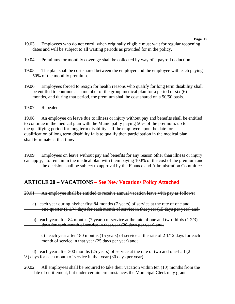- 19.03 Employees who do not enroll when originally eligible must wait for regular reopening dates and will be subject to all waiting periods as provided for in the policy.
- 19.04 Premiums for monthly coverage shall be collected by way of a payroll deduction.
- 19.05 The plan shall be cost shared between the employer and the employee with each paying 50% of the monthly premium.
- 19.06 Employees forced to resign for health reasons who qualify for long term disability shall be entitled to continue as a member of the group medical plan for a period of six (6) months, and during that period, the premium shall be cost shared on a 50/50 basis.

#### 19.07 Repealed

19.08 An employee on leave due to illness or injury without pay and benefits shall be entitled to continue in the medical plan with the Municipality paying 50% of the premium. up to the qualifying period for long term disability. If the employee upon the date for qualification of long term disability fails to qualify then participation in the medical plan shall terminate at that time*.* 

19.09 Employees on leave without pay and benefits for any reason other than illness or injury can apply, to remain in the medical plan with them paying 100% of the cost of the premium and the decision shall be subject to approval by the Finance and Administration Committee.

#### **ARTICLE 20 – VACATIONS – See New Vacations Policy Attached**

20.01 An employee shall be entitled to receive annual vacation leave with pay as follows:

a) each year during his/her first 84 months (7 years) of service at the rate of one and one-quarter (1 1/4) days for each month of service in that year (15 days per year) and;

b) each year after 84 months (7 years) of service at the rate of one and two-thirds (1 2/3) days for each month of service in that year (20 days per year) and;

c) each year after 180 months  $(15 \text{ years})$  of service at the rate of 2 1/12 days for each month of service in that year (25 days per year) and;

d) each year after 300 months (25 years) of service at the rate of two and one-half (2 ½) days for each month of service in that year (30 days per year).

20.02 All employees shall be required to take their vacation within ten (10) months from the date of entitlement, but under certain circumstances the Municipal Clerk may grant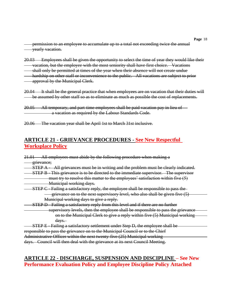permission to an employee to accumulate up to a total not exceeding twice the annual yearly vacation.

- 20.03 Employees shall be given the opportunity to select the time of year they would like their vacation, but the employee with the most seniority shall have first choice. Vacations
- shall only be permitted at times of the year when their absence will not create undue hardship on other staff or inconvenience to the public. All vacations are subject to prior approval by the Municipal Clerk.
- 20.04 It shall be the general practice that when employees are on vacation that their duties will be assumed by other staff so as to eliminate as much as possible the cost of replacements.
- 20.05 All temporary, and part-time employees shall be paid vacation pay in lieu of a vacation as required by the Labour Standards Code.
- 20.06 The vacation year shall be April 1st to March 31st inclusive.

#### **ARTICLE 21 - GRIEVANCE PROCEDURES - See New Respectful Worksplace Policy**

| All employees must abide by the following procedure when making a<br><del>21.01</del> |
|---------------------------------------------------------------------------------------|
| grievance;                                                                            |
| All grievances must be in writing and the problem must be clearly indicated.          |
| STEP B - This grievance is to be directed to the immediate supervisor. The supervisor |
| must try to resolve this matter to the employees' satisfaction within five (5)        |
| Municipal working days.                                                               |
| STEP C - Failing a satisfactory reply, the employee shall be responsible to pass the  |
| grievance on to the next supervisory level, who also shall be given five (5)          |
| Municipal working days to give a reply.                                               |
| STEP D - Failing a satisfactory reply from this level and if there are no further     |
| supervisory levels, then the employee shall be responsible to pass the grievance      |
| on to the Municipal Clerk to give a reply within five (5) Municipal working           |
| $\frac{days.}{?}$                                                                     |
| STEP E - Failing a satisfactory settlement under Step D, the employee shall be        |
| responsible to pass the grievance on to the Municipal Council or to the Chief         |
| Administrative Officer within the next twenty-five (25) Municipal working             |
| days. Council will then deal with the grievance at its next Council Meeting.          |

#### **ARTICLE 22 - DISCHARGE, SUSPENSION AND DISCIPLINE – See New Performance Evaluation Policy and Employee Discipline Policy Attached**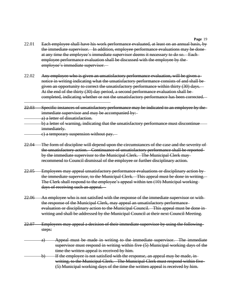- 22.01 Each employee shall have his work performance evaluated, at least on an annual basis, by the immediate supervisor. In addition, employee performance evaluations may be done at any time the employee's immediate supervisor deems it necessary to do so. Each employee performance evaluation shall be discussed with the employee by the employee's immediate supervisor.
- 22.02 Any employee who is given an unsatisfactory performance evaluation, will be given a notice in writing indicating what the unsatisfactory performance consists of and shall be given an opportunity to correct the unsatisfactory performance within thirty (30) days. At the end of the thirty (30) day period, a second performance evaluation shall be completed, indicating whether or not the unsatisfactory performance has been corrected.  $\overline{a}$
- 22.03 Specific instances of unsatisfactory performance may be indicated to an employee by the immediate supervisor and may be accompanied by: a) a letter of dissatisfaction.
	- b) a letter of warning, indicating that the unsatisfactory performance must discontinue immediately.
- c) a temporary suspension without pay.
- 22.04 The form of discipline will depend upon the circumstances of the case and the severity of the unsatisfactory action. Continuance of unsatisfactory performance shall be reported by the immediate supervisor to the Municipal Clerk. The Municipal Clerk may recommend to Council dismissal of the employee or further disciplinary action.
- 22.05 Employees may appeal unsatisfactory performance evaluations or disciplinary action by the immediate supervisor, to the Municipal Clerk. This appeal must be done in writing. The Clerk shall respond to the employee's appeal within ten (10) Municipal working days of receiving such an appeal.
- 22.06 An employee who is not satisfied with the response of the immediate supervisor or with the response of the Municipal Clerk, may appeal an unsatisfactory performance evaluation or disciplinary action to the Municipal Council. This appeal must be done in writing and shall be addressed by the Municipal Council at their next Council Meeting.
- 22.07 Employees may appeal a decision of their immediate supervisor by using the following steps:
	- a) Appeal must be made in writing to the immediate supervisor. The immediate supervisor must respond in writing within five (5) Municipal working days of the time the written appeal is received by him.
	- b) If the employee is not satisfied with the response, an appeal may be made, inwriting, to the Municipal Clerk. The Municipal Clerk must respond within five (5) Municipal working days of the time the written appeal is received by him.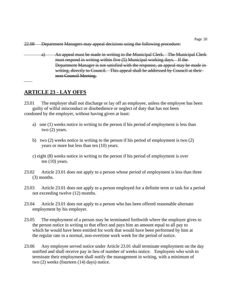a) An appeal must be made in writing to the Municipal Clerk. The Municipal Clerkmust respond in writing within five (5) Municipal working days. If the Department Manager is not satisfied with the response, an appeal may be made in writing, directly to Council. This appeal shall be addressed by Council at theirnext Council Meeting.

# **ARTICLE 23 - LAY OFFS**

23.01 The employer shall not discharge or lay off an employee, unless the employee has been guilty of wilful misconduct or disobedience or neglect of duty that has not been condoned by the employer, without having given at least:

- a) one (1) weeks notice in writing to the person if his period of employment is less than two (2) years.
- b) two (2) weeks notice in writing to the person if his period of employment is two (2) years or more but less than ten (10) years.
- c) eight (8) weeks notice in writing to the person if his period of employment is over ten (10) years.
- 23.02 Article 23.01 does not apply to a person whose period of employment is less than three (3) months.
- 23.03 Article 23.01 does not apply to a person employed for a definite term or task for a period not exceeding twelve (12) months.
- 23.04 Article 23.01 does not apply to a person who has been offered reasonable alternate employment by his employer.
- 23.05 The employment of a person may be terminated forthwith where the employer gives to the person notice in writing to that effect and pays him an amount equal to all pay to which he would have been entitled for work that would have been performed by him at the regular rate in a normal, non-overtime work week for the period of notice.
- 23.06 Any employee served notice under Article 23.01 shall terminate employment on the day notified and shall receive pay in lieu of number of weeks notice. Employees who wish to terminate their employment shall notify the management in writing, with a minimum of two (2) weeks (fourteen (14) days) notice.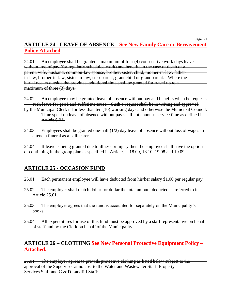# **ARTICLE 24 - LEAVE OF ABSENCE – See New Family Care or Bereavement Policy Attached**

24.01 An employee shall be granted a maximum of four (4) consecutive work days leave without loss of pay (for regularly scheduled work) and benefits in the case of death of a parent, wife, husband, common-law spouse, brother, sister, child, mother-in-law, fatherin-law, brother-in-law, sister-in-law, step-parent, grandchild or grandparent. Where the burial occurs outside the province, additional time shall be granted for travel up to a maximum of three (3) days.

24.02 An employee may be granted leave of absence without pay and benefits when he requests such leave for good and sufficient cause. Such a request shall be in writing and approved by the Municipal Clerk if for less than ten (10) working days and otherwise the Municipal Council. Time spent on leave of absence without pay shall not count as service time as defined in Article 6.01.

24.03 Employees shall be granted one-half (1/2) day leave of absence without loss of wages to attend a funeral as a pallbearer.

24.04 If leave is being granted due to illness or injury then the employee shall have the option of continuing in the group plan as specified in Articles: 18.09, 18.10, 19.08 and 19.09.

# **ARTICLE 25 - OCCASION FUND**

- 25.01 Each permanent employee will have deducted from his/her salary \$1.00 per regular pay.
- 25.02 The employer shall match dollar for dollar the total amount deducted as referred to in Article 25.01.
- 25.03 The employer agrees that the fund is accounted for separately on the Municipality's books.
- 25.04 All expenditures for use of this fund must be approved by a staff representative on behalf of staff and by the Clerk on behalf of the Municipality.

#### **ARTICLE 26 – CLOTHING See New Personal Protective Equipment Policy – Attached.**

26.01 The employer agrees to provide protective clothing as listed below subject to the approval of the Supervisor at no cost to the Water and Wastewater Staff, Property Services Staff and C & D Landfill Staff-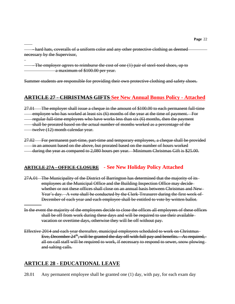- hard hats, coveralls of a uniform color and any other protective clothing as deemed necessary by the Supervisor,

- The employer agrees to reimburse the cost of one (1) pair of steel-toed shoes, up to a maximum of \$100.00 per year.

Summer students are responsible for providing their own protective clothing and safety shoes.

# **ARTICLE 27 - CHRISTMAS GIFTS See New Annual Bonus Policy - Attached**

27.01 The employer shall issue a cheque in the amount of \$100.00 to each permanent full-time employee who has worked at least six (6) months of the year at the time of payment. For regular full-time employees who have works less than six (6) months, then the payment shall be prorated based on the actual number of months worked as a percentage of the twelve (12) month calendar year.

27.02 For permanent part-time, part-time and temporary employees, a cheque shall be provided in an amount based on the above, but prorated based on the number of hours worked during the year as compared to 2,080 hours per year. Minimum Christmas Gift is \$25.00.

#### **ARTICLE 27A - OFFICE CLOSURE - See New Holiday Policy Attached**

- 27A.01 The Municipality of the District of Barrington has determined that the majority of its employees at the Municipal Office and the Building Inspection Office may decide whether or not these offices shall close on an annual basis between Christmas and New Year's day. A vote shall be conducted by the Clerk-Treasurer during the first week of December of each year and each employee shall be entitled to vote by written ballot.
- In the event the majority of the employees decide to close the offices all employees of these offices shall be off from work during these days and will be required to use their available vacation or overtime days, otherwise they will be off without pay.
- Effective 2014 and each year thereafter, municipal employees scheduled to work on Christmas Eve, December  $24<sup>th</sup>$ , will be granted the day off with full pay and benefits. As required, all on-call staff will be required to work, if necessary to respond to sewer, snow plowing and salting calls.

# **ARTICLE 28 - EDUCATIONAL LEAVE**

28.01 Any permanent employee shall be granted one (1) day, with pay, for each exam day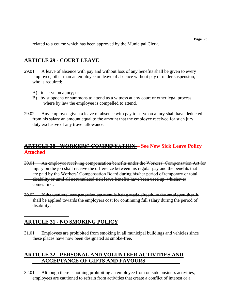#### **ARTICLE 29 - COURT LEAVE**

- 29.01 A leave of absence with pay and without loss of any benefits shall be given to every employee, other than an employee on leave of absence without pay or under suspension, who is required;
	- A) to serve on a jury; or
	- B) by subpoena or summons to attend as a witness at any court or other legal process where by law the employee is compelled to attend.
- 29.02 Any employee given a leave of absence with pay to serve on a jury shall have deducted from his salary an amount equal to the amount that the employee received for such jury duty exclusive of any travel allowance.

# **ARTICLE 30 - WORKERS' COMPENSATION – See New Sick Leave Policy Attached**

30.01 An employee receiving compensation benefits under the Workers' Compensation Act for injury on the job shall receive the difference between his regular pay and the benefits that are paid by the Workers' Compensation Board during his/her period of temporary or total disability or until all accumulated sick leave benefits have been used up, whichever comes first.

30.02 If the workers' compensation payment is being made directly to the employer, then it shall be applied towards the employers cost for continuing full salary during the period of disability.

# **ARTICLE 31 - NO SMOKING POLICY**

31.01 Employees are prohibited from smoking in all municipal buildings and vehicles since these places have now been designated as smoke-free.

# **ARTICLE 32 - PERSONAL AND VOLUNTEER ACTIVITIES AND ACCEPTANCE OF GIFTS AND FAVOURS**

32.01 Although there is nothing prohibiting an employee from outside business activities, employees are cautioned to refrain from activities that create a conflict of interest or a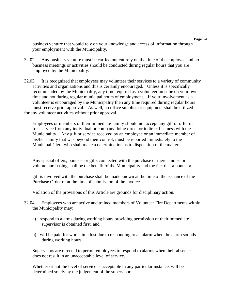business venture that would rely on your knowledge and access of information through your employment with the Municipality.

- 32.02 Any business venture must be carried out entirely on the time of the employee and no business meetings or activities should be conducted during regular hours that you are employed by the Municipality.
- 32.03 It is recognized that employees may volunteer their services to a variety of community activities and organizations and this is certainly encouraged. Unless it is specifically recommended by the Municipality, any time required as a volunteer must be on your own time and not during regular municipal hours of employment. If your involvement as a volunteer is encouraged by the Municipality then any time required during regular hours must receive prior approval. As well, no office supplies or equipment shall be utilized for any volunteer activities without prior approval.

Employees or members of their immediate family should not accept any gift or offer of free service from any individual or company doing direct or indirect business with the Municipality. Any gift or service received by an employee or an immediate member of his/her family that was beyond their control, must be reported immediately to the Municipal Clerk who shall make a determination as to disposition of the matter.

Any special offers, bonuses or gifts connected with the purchase of merchandise or volume purchasing shall be the benefit of the Municipality and the fact that a bonus or

gift is involved with the purchase shall be made known at the time of the issuance of the Purchase Order or at the time of submission of the invoice.

Violation of the provisions of this Article are grounds for disciplinary action.

- 32.04 Employees who are active and trained members of Volunteer Fire Departments within the Municipality may:
	- a) respond to alarms during working hours providing permission of their immediate supervisor is obtained first, and
	- b) will be paid for work-time lost due to responding to an alarm when the alarm sounds during working hours.

Supervisors are directed to permit employees to respond to alarms when their absence does not result in an unacceptable level of service.

Whether or not the level of service is acceptable in any particular instance, will be determined solely by the judgement of the supervisor.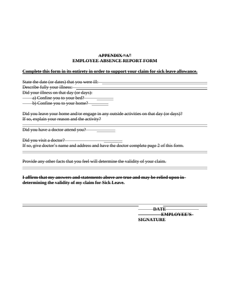#### **APPENDIX "A" EMPLOYEE ABSENCE REPORT FORM**

#### **Complete this form in its entirety in order to support your claim for sick leave allowance.**

State the date (or dates) that you were ill: Describe fully your illness: Did your illness on that day (or days): a) Confine you to your bed? b) Confine you to your home? Did you leave your home and/or engage in any outside activities on that day (or days)? If so, explain your reason and the activity?

Did you have a doctor attend you?

 $\overline{a}$ 

 $\overline{a}$ 

 $\overline{a}$ 

Did you visit a doctor? If so, give doctor's name and address and have the doctor complete page 2 of this form.

Provide any other facts that you feel will determine the validity of your claim.

**I affirm that my answers and statements above are true and may be relied upon in determining the validity of my claim for Sick Leave.**

> **DATE EMPLOYEE'S SIGNATURE**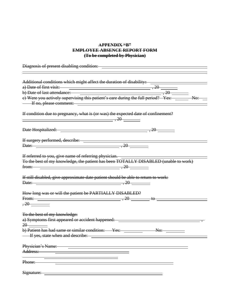#### **APPENDIX "B" EMPLOYEE ABSENCE REPORT FORM (To be completed by Physician)**

| Diagnosis of present disabling condition:                                                            |       |
|------------------------------------------------------------------------------------------------------|-------|
| Additional conditions which might affect the duration of disability: ___________                     |       |
| a) Date of first visit: $\qquad \qquad$                                                              |       |
| b) Date of last attendance: with the contract of last attendance:                                    | , 20  |
| e) Were you actively supervising this patient's care during the full period? Yes: _____              | No:   |
| If no, please comment:                                                                               |       |
|                                                                                                      |       |
| If condition due to pregnancy, what is (or was) the expected date of confinement?<br>$\overline{20}$ |       |
|                                                                                                      |       |
|                                                                                                      |       |
| Date: 20                                                                                             |       |
|                                                                                                      |       |
| If referred to you, give name of referring physician. __________________________                     |       |
| To the best of my knowledge, the patient has been TOTALLY DISABLED (unable to work)                  |       |
| from: $\qquad \qquad \qquad .20$                                                                     |       |
|                                                                                                      |       |
| If still disabled, give approximate date patient should be able to return to work:                   |       |
| Date: 20                                                                                             |       |
|                                                                                                      |       |
| How long was or will the patient be PARTIALLY DISABLED?                                              |       |
| From: $\qquad \qquad \qquad .20$                                                                     | $+$ o |
|                                                                                                      |       |
|                                                                                                      |       |
| To the best of my knowledge:                                                                         |       |
| a) Symptoms first appeared or accident happened: ________________________________                    |       |
| 20                                                                                                   |       |
| b) Patient has had same or similar condition: Yes: No:                                               |       |
| - If yes, state when and describe:                                                                   |       |
|                                                                                                      |       |
| Physician's Name:                                                                                    |       |
| Address:                                                                                             |       |
|                                                                                                      |       |
| Phone:                                                                                               |       |
|                                                                                                      |       |
| Signature:                                                                                           |       |